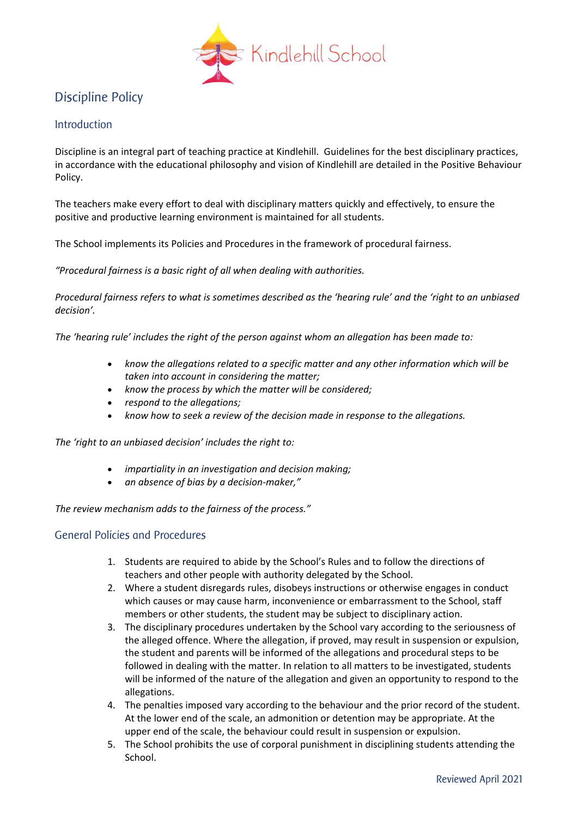

## Discipline Policy

## Introduction

Discipline is an integral part of teaching practice at Kindlehill. Guidelines for the best disciplinary practices, in accordance with the educational philosophy and vision of Kindlehill are detailed in the Positive Behaviour Policy.

The teachers make every effort to deal with disciplinary matters quickly and effectively, to ensure the positive and productive learning environment is maintained for all students.

The School implements its Policies and Procedures in the framework of procedural fairness.

*"Procedural fairness is a basic right of all when dealing with authorities.* 

*Procedural fairness refers to what is sometimes described as the 'hearing rule' and the 'right to an unbiased decision'.*

*The 'hearing rule' includes the right of the person against whom an allegation has been made to:*

- *know the allegations related to a specific matter and any other information which will be taken into account in considering the matter;*
- *know the process by which the matter will be considered;*
- *respond to the allegations;*
- *know how to seek a review of the decision made in response to the allegations.*

*The 'right to an unbiased decision' includes the right to:*

- *impartiality in an investigation and decision making;*
- *an absence of bias by a decision-maker,"*

*The review mechanism adds to the fairness of the process."*

## General Policies and Procedures

- 1. Students are required to abide by the School's Rules and to follow the directions of teachers and other people with authority delegated by the School.
- 2. Where a student disregards rules, disobeys instructions or otherwise engages in conduct which causes or may cause harm, inconvenience or embarrassment to the School, staff members or other students, the student may be subject to disciplinary action.
- 3. The disciplinary procedures undertaken by the School vary according to the seriousness of the alleged offence. Where the allegation, if proved, may result in suspension or expulsion, the student and parents will be informed of the allegations and procedural steps to be followed in dealing with the matter. In relation to all matters to be investigated, students will be informed of the nature of the allegation and given an opportunity to respond to the allegations.
- 4. The penalties imposed vary according to the behaviour and the prior record of the student. At the lower end of the scale, an admonition or detention may be appropriate. At the upper end of the scale, the behaviour could result in suspension or expulsion.
- 5. The School prohibits the use of corporal punishment in disciplining students attending the School.